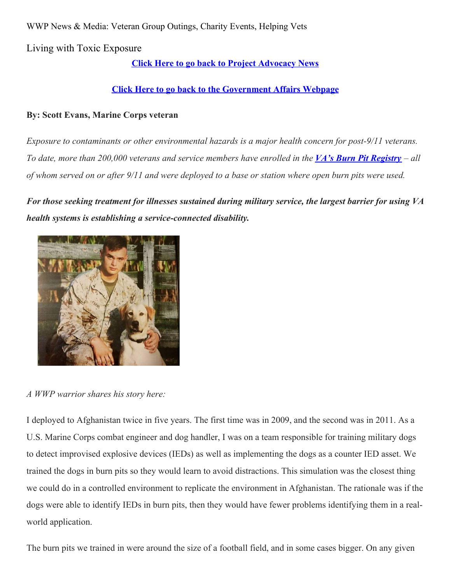WWP News & Media: Veteran Group Outings, Charity Events, Helping Vets

Living with Toxic Exposure

# **Click Here to go back to Project [Advocacy](https://www.woundedwarriorproject.org/programs/government-affairs/project-advocacy-news) News**

# **Click Here to go back to the [Government](https://www.woundedwarriorproject.org/programs/government-affairs) Affairs Webpage**

## **By: Scott Evans, Marine Corps veteran**

*Exposure to contaminants or other environmental hazards is a major health concern for post-9/11 veterans.* To date, more than 200,000 veterans and service members have enrolled in the VA's **Burn Pit [Registry](https://veteran.mobilehealth.va.gov/AHBurnPitRegistry/index.html#page/home)** – all of whom served on or after 9/11 and were deployed to a base or station where open burn pits were used.

*For those seeking treatment for illnesses sustained during military service, the largest barrier for using VA health systems is establishing a service-connected disability.*



*A WWP warrior shares his story here:*

I deployed to Afghanistan twice in five years. The first time was in 2009, and the second was in 2011. As a U.S. Marine Corps combat engineer and dog handler, I was on a team responsible for training military dogs to detect improvised explosive devices (IEDs) as well as implementing the dogs as a counter IED asset. We trained the dogs in burn pits so they would learn to avoid distractions. This simulation was the closest thing we could do in a controlled environment to replicate the environment in Afghanistan. The rationale was if the dogs were able to identify IEDs in burn pits, then they would have fewer problems identifying them in a realworld application.

The burn pits we trained in were around the size of a football field, and in some cases bigger. On any given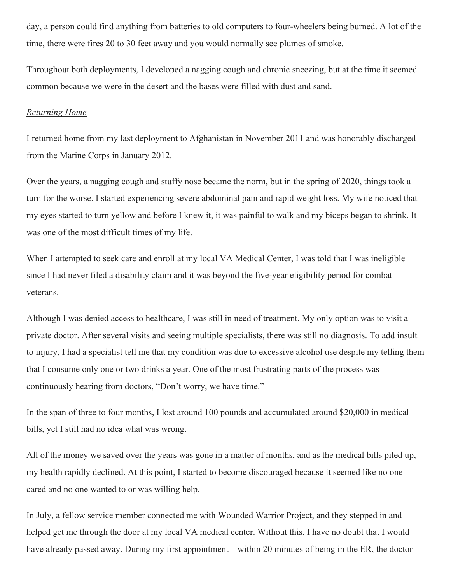day, a person could find anything from batteries to old computers to four-wheelers being burned. A lot of the time, there were fires 20 to 30 feet away and you would normally see plumes of smoke.

Throughout both deployments, I developed a nagging cough and chronic sneezing, but at the time it seemed common because we were in the desert and the bases were filled with dust and sand.

#### *Returning Home*

I returned home from my last deployment to Afghanistan in November 2011 and was honorably discharged from the Marine Corps in January 2012.

Over the years, a nagging cough and stuffy nose became the norm, but in the spring of 2020, things took a turn for the worse. I started experiencing severe abdominal pain and rapid weight loss. My wife noticed that my eyes started to turn yellow and before I knew it, it was painful to walk and my biceps began to shrink. It was one of the most difficult times of my life.

When I attempted to seek care and enroll at my local VA Medical Center, I was told that I was ineligible since I had never filed a disability claim and it was beyond the five-year eligibility period for combat veterans.

Although I was denied access to healthcare, I was still in need of treatment. My only option was to visit a private doctor. After several visits and seeing multiple specialists, there was still no diagnosis. To add insult to injury, I had a specialist tell me that my condition was due to excessive alcohol use despite my telling them that I consume only one or two drinks a year. One of the most frustrating parts of the process was continuously hearing from doctors, "Don't worry, we have time."

In the span of three to four months, I lost around 100 pounds and accumulated around \$20,000 in medical bills, yet I still had no idea what was wrong.

All of the money we saved over the years was gone in a matter of months, and as the medical bills piled up, my health rapidly declined. At this point, I started to become discouraged because it seemed like no one cared and no one wanted to or was willing help.

In July, a fellow service member connected me with Wounded Warrior Project, and they stepped in and helped get me through the door at my local VA medical center. Without this, I have no doubt that I would have already passed away. During my first appointment – within 20 minutes of being in the ER, the doctor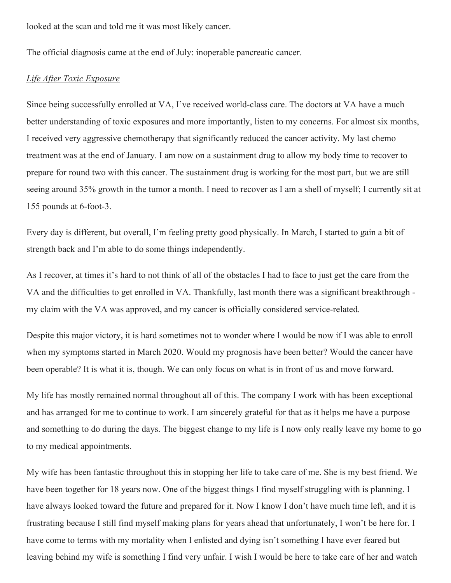looked at the scan and told me it was most likely cancer.

The official diagnosis came at the end of July: inoperable pancreatic cancer.

### *Life After Toxic Exposure*

Since being successfully enrolled at VA, I've received world-class care. The doctors at VA have a much better understanding of toxic exposures and more importantly, listen to my concerns. For almost six months, I received very aggressive chemotherapy that significantly reduced the cancer activity. My last chemo treatment was at the end of January. I am now on a sustainment drug to allow my body time to recover to prepare for round two with this cancer. The sustainment drug is working for the most part, but we are still seeing around 35% growth in the tumor a month. I need to recover as I am a shell of myself; I currently sit at 155 pounds at 6-foot-3.

Every day is different, but overall, I'm feeling pretty good physically. In March, I started to gain a bit of strength back and I'm able to do some things independently.

As I recover, at times it's hard to not think of all of the obstacles I had to face to just get the care from the VA and the difficulties to get enrolled in VA. Thankfully, last month there was a significant breakthrough my claim with the VA was approved, and my cancer is officially considered service-related.

Despite this major victory, it is hard sometimes not to wonder where I would be now if I was able to enroll when my symptoms started in March 2020. Would my prognosis have been better? Would the cancer have been operable? It is what it is, though. We can only focus on what is in front of us and move forward.

My life has mostly remained normal throughout all of this. The company I work with has been exceptional and has arranged for me to continue to work. I am sincerely grateful for that as it helps me have a purpose and something to do during the days. The biggest change to my life is I now only really leave my home to go to my medical appointments.

My wife has been fantastic throughout this in stopping her life to take care of me. She is my best friend. We have been together for 18 years now. One of the biggest things I find myself struggling with is planning. I have always looked toward the future and prepared for it. Now I know I don't have much time left, and it is frustrating because I still find myself making plans for years ahead that unfortunately, I won't be here for. I have come to terms with my mortality when I enlisted and dying isn't something I have ever feared but leaving behind my wife is something I find very unfair. I wish I would be here to take care of her and watch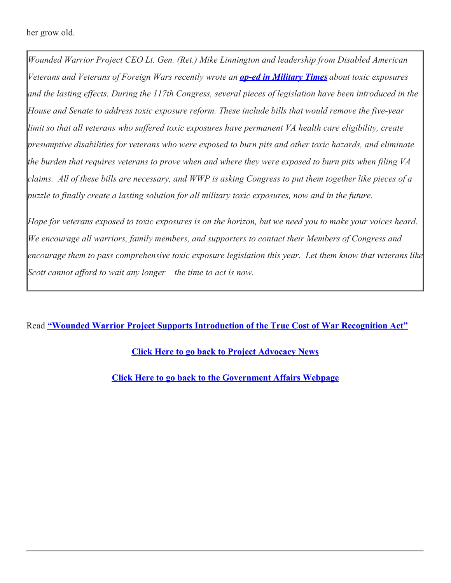her grow old.

*Wounded Warrior Project CEO Lt. Gen. (Ret.) Mike Linnington and leadership from Disabled American Veterans and Veterans of Foreign Wars recently wrote an op-ed in [Military](https://www.militarytimes.com/opinion/commentary/2021/04/26/its-time-to-solve-the-puzzle-for-veterans-exposed-to-toxic-hazards/) Times about toxic exposures* and the lasting effects. During the 117th Congress, several pieces of legislation have been introduced in the *House and Senate to address toxic exposure reform. These include bills that would remove the five-year limit so that all veterans who suf ered toxic exposures have permanent VA health care eligibility, create presumptive disabilities for veterans who were exposed to burn pits and other toxic hazards, and eliminate* the burden that requires veterans to prove when and where they were exposed to burn pits when filing VA claims. All of these bills are necessary, and WWP is asking Congress to put them together like pieces of a *puzzle to finally create a lasting solution for all military toxic exposures, now and in the future.*

Hope for veterans exposed to toxic exposures is on the horizon, but we need you to make your voices heard. *We encourage all warriors, family members, and supporters to contact their Members of Congress and encourage them to pass comprehensive toxic exposure legislation this year. Let them know that veterans like Scott cannot af ord to wait any longer – the time to act is now.*

Read **"Wounded Warrior Project Supports [Introduction](https://newsroom.woundedwarriorproject.org/2021-05-26-Wounded-Warrior-Project-Supports-Introduction-of-The-True-Cost-of-War-Recognition-Act) of the True Cost of War Recognition Act"**

**Click Here to go back to Project [Advocacy](https://www.woundedwarriorproject.org/programs/government-affairs/project-advocacy-news) News**

**Click Here to go back to the [Government](https://www.woundedwarriorproject.org/programs/government-affairs) Affairs Webpage**